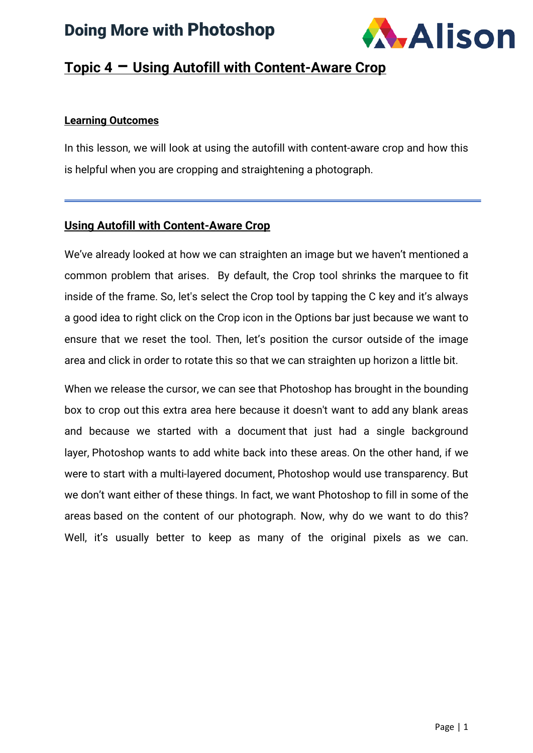## Doing More with Photoshop



#### **Topic 4 – Using Autofill with Content-Aware Crop**

#### **Learning Outcomes**

In this lesson, we will look at using the autofill with content-aware crop and how this is helpful when you are cropping and straightening a photograph.

#### **Using Autofill with Content-Aware Crop**

We've already looked at how we can straighten an image but we haven't mentioned a common problem that arises. By default, the Crop tool shrinks the marquee to fit inside of the frame. So, let's select the Crop tool by tapping the C key and it's always a good idea to right click on the Crop icon in the Options bar just because we want to ensure that we reset the tool. Then, let's position the cursor outside of the image area and click in order to rotate this so that we can straighten up horizon a little bit.

When we release the cursor, we can see that Photoshop has brought in the bounding box to crop out this extra area here because it doesn't want to add any blank areas and because we started with a document that just had a single background layer, Photoshop wants to add white back into these areas. On the other hand, if we were to start with a multi-layered document, Photoshop would use transparency. But we don't want either of these things. In fact, we want Photoshop to fill in some of the areas based on the content of our photograph. Now, why do we want to do this? Well, it's usually better to keep as many of the original pixels as we can.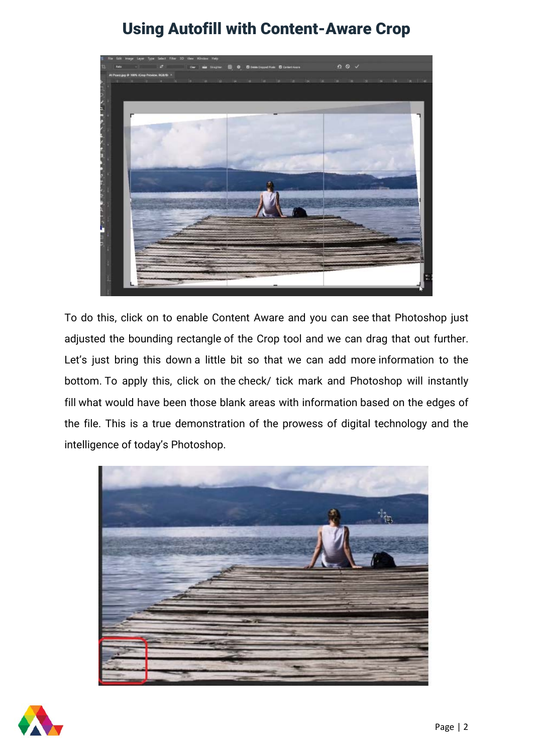### Using Autofill with Content-Aware Crop



To do this, click on to enable Content Aware and you can see that Photoshop just adjusted the bounding rectangle of the Crop tool and we can drag that out further. Let's just bring this down a little bit so that we can add more information to the bottom. To apply this, click on the check/ tick mark and Photoshop will instantly fill what would have been those blank areas with information based on the edges of the file. This is a true demonstration of the prowess of digital technology and the intelligence of today's Photoshop.



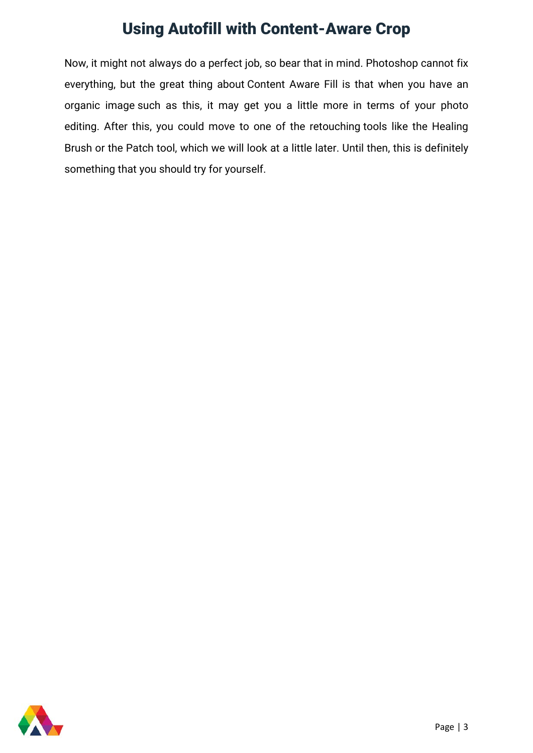### Using Autofill with Content-Aware Crop

Now, it might not always do a perfect job, so bear that in mind. Photoshop cannot fix everything, but the great thing about Content Aware Fill is that when you have an organic image such as this, it may get you a little more in terms of your photo editing. After this, you could move to one of the retouching tools like the Healing Brush or the Patch tool, which we will look at a little later. Until then, this is definitely something that you should try for yourself.